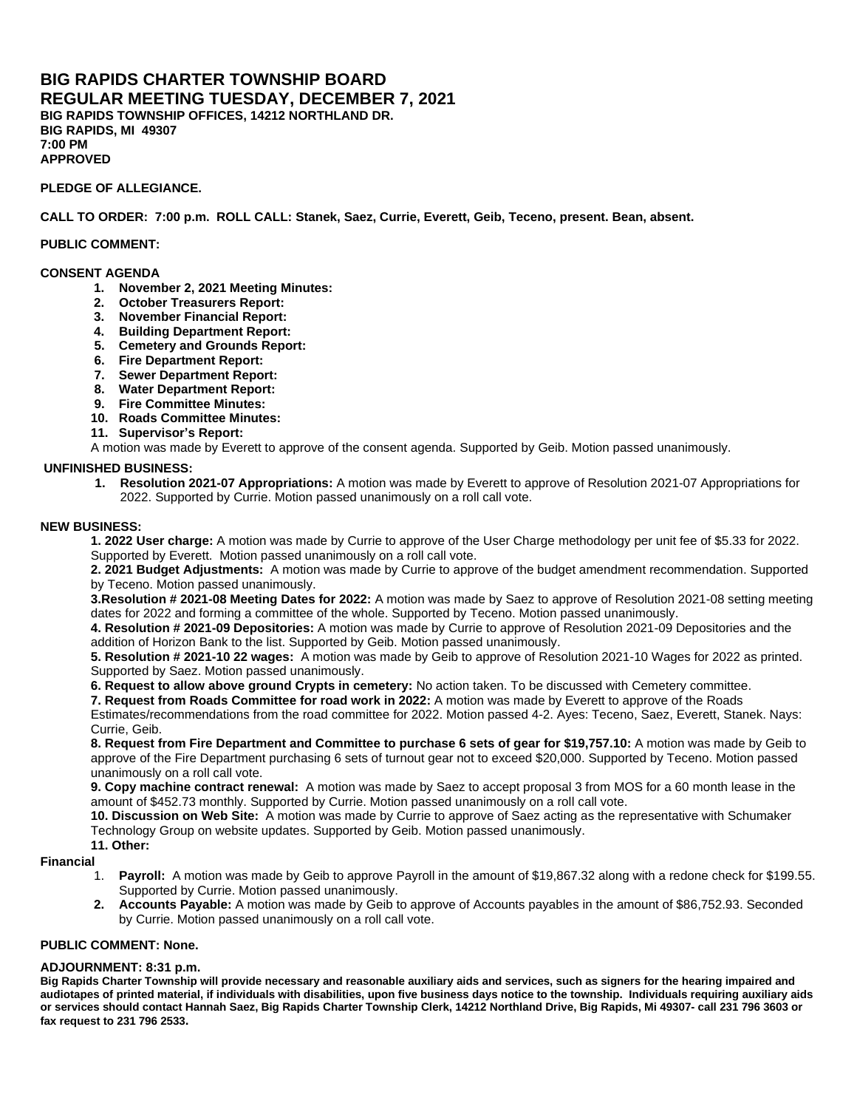## **BIG RAPIDS CHARTER TOWNSHIP BOARD REGULAR MEETING TUESDAY, DECEMBER 7, 2021 BIG RAPIDS TOWNSHIP OFFICES, 14212 NORTHLAND DR. BIG RAPIDS, MI 49307 7:00 PM APPROVED**

## **PLEDGE OF ALLEGIANCE.**

**CALL TO ORDER: 7:00 p.m. ROLL CALL: Stanek, Saez, Currie, Everett, Geib, Teceno, present. Bean, absent.** 

### **PUBLIC COMMENT:**

### **CONSENT AGENDA**

- **1. November 2, 2021 Meeting Minutes:**
- **2. October Treasurers Report:**
- **3. November Financial Report:**
- **4. Building Department Report:**
- **5. Cemetery and Grounds Report:**
- **6. Fire Department Report:**
- **7. Sewer Department Report:**
- **8. Water Department Report:**
- **9. Fire Committee Minutes:**
- **10. Roads Committee Minutes:**
- **11. Supervisor's Report:**

A motion was made by Everett to approve of the consent agenda. Supported by Geib. Motion passed unanimously.

### **UNFINISHED BUSINESS:**

**1. Resolution 2021-07 Appropriations:** A motion was made by Everett to approve of Resolution 2021-07 Appropriations for 2022. Supported by Currie. Motion passed unanimously on a roll call vote.

#### **NEW BUSINESS:**

**1. 2022 User charge:** A motion was made by Currie to approve of the User Charge methodology per unit fee of \$5.33 for 2022. Supported by Everett. Motion passed unanimously on a roll call vote.

**2. 2021 Budget Adjustments:** A motion was made by Currie to approve of the budget amendment recommendation. Supported by Teceno. Motion passed unanimously.

**3.Resolution # 2021-08 Meeting Dates for 2022:** A motion was made by Saez to approve of Resolution 2021-08 setting meeting dates for 2022 and forming a committee of the whole. Supported by Teceno. Motion passed unanimously.

**4. Resolution # 2021-09 Depositories:** A motion was made by Currie to approve of Resolution 2021-09 Depositories and the addition of Horizon Bank to the list. Supported by Geib. Motion passed unanimously.

**5. Resolution # 2021-10 22 wages:** A motion was made by Geib to approve of Resolution 2021-10 Wages for 2022 as printed. Supported by Saez. Motion passed unanimously.

**6. Request to allow above ground Crypts in cemetery:** No action taken. To be discussed with Cemetery committee.

**7. Request from Roads Committee for road work in 2022:** A motion was made by Everett to approve of the Roads

Estimates/recommendations from the road committee for 2022. Motion passed 4-2. Ayes: Teceno, Saez, Everett, Stanek. Nays: Currie, Geib.

**8. Request from Fire Department and Committee to purchase 6 sets of gear for \$19,757.10:** A motion was made by Geib to approve of the Fire Department purchasing 6 sets of turnout gear not to exceed \$20,000. Supported by Teceno. Motion passed unanimously on a roll call vote.

**9. Copy machine contract renewal:** A motion was made by Saez to accept proposal 3 from MOS for a 60 month lease in the amount of \$452.73 monthly. Supported by Currie. Motion passed unanimously on a roll call vote.

**10. Discussion on Web Site:** A motion was made by Currie to approve of Saez acting as the representative with Schumaker Technology Group on website updates. Supported by Geib. Motion passed unanimously.

**11. Other:** 

#### **Financial**

- 1. **Payroll:** A motion was made by Geib to approve Payroll in the amount of \$19,867.32 along with a redone check for \$199.55. Supported by Currie. Motion passed unanimously.
- **2. Accounts Payable:** A motion was made by Geib to approve of Accounts payables in the amount of \$86,752.93. Seconded by Currie. Motion passed unanimously on a roll call vote.

#### **PUBLIC COMMENT: None.**

### **ADJOURNMENT: 8:31 p.m.**

**Big Rapids Charter Township will provide necessary and reasonable auxiliary aids and services, such as signers for the hearing impaired and audiotapes of printed material, if individuals with disabilities, upon five business days notice to the township. Individuals requiring auxiliary aids or services should contact Hannah Saez, Big Rapids Charter Township Clerk, 14212 Northland Drive, Big Rapids, Mi 49307- call 231 796 3603 or fax request to 231 796 2533.**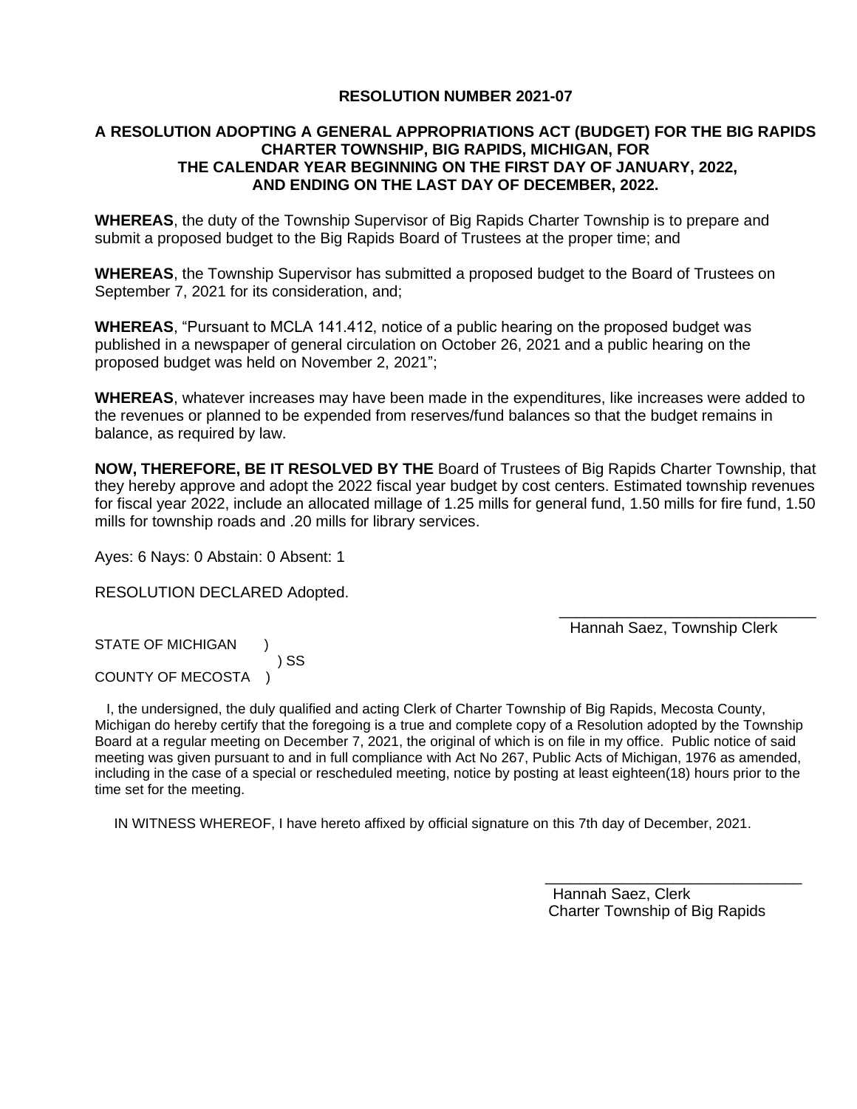## **RESOLUTION NUMBER 2021-07**

## **A RESOLUTION ADOPTING A GENERAL APPROPRIATIONS ACT (BUDGET) FOR THE BIG RAPIDS CHARTER TOWNSHIP, BIG RAPIDS, MICHIGAN, FOR THE CALENDAR YEAR BEGINNING ON THE FIRST DAY OF JANUARY, 2022, AND ENDING ON THE LAST DAY OF DECEMBER, 2022.**

**WHEREAS**, the duty of the Township Supervisor of Big Rapids Charter Township is to prepare and submit a proposed budget to the Big Rapids Board of Trustees at the proper time; and

**WHEREAS**, the Township Supervisor has submitted a proposed budget to the Board of Trustees on September 7, 2021 for its consideration, and;

**WHEREAS**, "Pursuant to MCLA 141.412, notice of a public hearing on the proposed budget was published in a newspaper of general circulation on October 26, 2021 and a public hearing on the proposed budget was held on November 2, 2021";

**WHEREAS**, whatever increases may have been made in the expenditures, like increases were added to the revenues or planned to be expended from reserves/fund balances so that the budget remains in balance, as required by law.

**NOW, THEREFORE, BE IT RESOLVED BY THE** Board of Trustees of Big Rapids Charter Township, that they hereby approve and adopt the 2022 fiscal year budget by cost centers. Estimated township revenues for fiscal year 2022, include an allocated millage of 1.25 mills for general fund, 1.50 mills for fire fund, 1.50 mills for township roads and .20 mills for library services.

Ayes: 6 Nays: 0 Abstain: 0 Absent: 1

RESOLUTION DECLARED Adopted.

 $\overline{\phantom{a}}$  , and the contract of the contract of the contract of the contract of the contract of the contract of the contract of the contract of the contract of the contract of the contract of the contract of the contrac Hannah Saez, Township Clerk

STATE OF MICHIGAN ) ) SS COUNTY OF MECOSTA )

 I, the undersigned, the duly qualified and acting Clerk of Charter Township of Big Rapids, Mecosta County, Michigan do hereby certify that the foregoing is a true and complete copy of a Resolution adopted by the Township Board at a regular meeting on December 7, 2021, the original of which is on file in my office. Public notice of said meeting was given pursuant to and in full compliance with Act No 267, Public Acts of Michigan, 1976 as amended, including in the case of a special or rescheduled meeting, notice by posting at least eighteen(18) hours prior to the time set for the meeting.

 $\overline{\phantom{a}}$  , and the contract of the contract of the contract of the contract of the contract of the contract of the contract of the contract of the contract of the contract of the contract of the contract of the contrac

IN WITNESS WHEREOF, I have hereto affixed by official signature on this 7th day of December, 2021.

 Hannah Saez, Clerk Charter Township of Big Rapids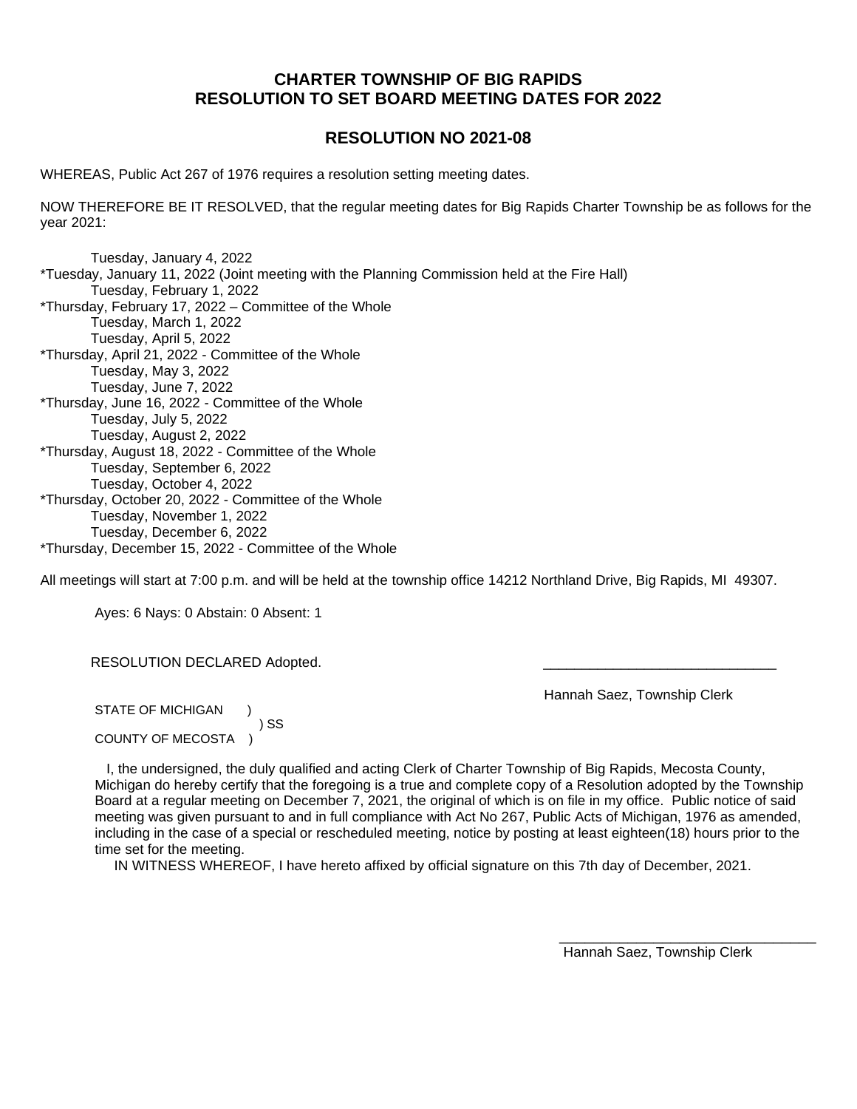# **CHARTER TOWNSHIP OF BIG RAPIDS RESOLUTION TO SET BOARD MEETING DATES FOR 2022**

# **RESOLUTION NO 2021-08**

WHEREAS, Public Act 267 of 1976 requires a resolution setting meeting dates.

NOW THEREFORE BE IT RESOLVED, that the regular meeting dates for Big Rapids Charter Township be as follows for the year 2021:

Tuesday, January 4, 2022 \*Tuesday, January 11, 2022 (Joint meeting with the Planning Commission held at the Fire Hall) Tuesday, February 1, 2022 \*Thursday, February 17, 2022 – Committee of the Whole Tuesday, March 1, 2022 Tuesday, April 5, 2022 \*Thursday, April 21, 2022 - Committee of the Whole Tuesday, May 3, 2022 Tuesday, June 7, 2022 \*Thursday, June 16, 2022 - Committee of the Whole Tuesday, July 5, 2022 Tuesday, August 2, 2022 \*Thursday, August 18, 2022 - Committee of the Whole Tuesday, September 6, 2022 Tuesday, October 4, 2022 \*Thursday, October 20, 2022 - Committee of the Whole Tuesday, November 1, 2022 Tuesday, December 6, 2022 \*Thursday, December 15, 2022 - Committee of the Whole

All meetings will start at 7:00 p.m. and will be held at the township office 14212 Northland Drive, Big Rapids, MI 49307.

Ayes: 6 Nays: 0 Abstain: 0 Absent: 1

RESOLUTION DECLARED Adopted.

Hannah Saez, Township Clerk

STATE OF MICHIGAN ) SS COUNTY OF MECOSTA )

 I, the undersigned, the duly qualified and acting Clerk of Charter Township of Big Rapids, Mecosta County, Michigan do hereby certify that the foregoing is a true and complete copy of a Resolution adopted by the Township Board at a regular meeting on December 7, 2021, the original of which is on file in my office. Public notice of said meeting was given pursuant to and in full compliance with Act No 267, Public Acts of Michigan, 1976 as amended, including in the case of a special or rescheduled meeting, notice by posting at least eighteen(18) hours prior to the time set for the meeting.

IN WITNESS WHEREOF, I have hereto affixed by official signature on this 7th day of December, 2021.

Hannah Saez, Township Clerk

\_\_\_\_\_\_\_\_\_\_\_\_\_\_\_\_\_\_\_\_\_\_\_\_\_\_\_\_\_\_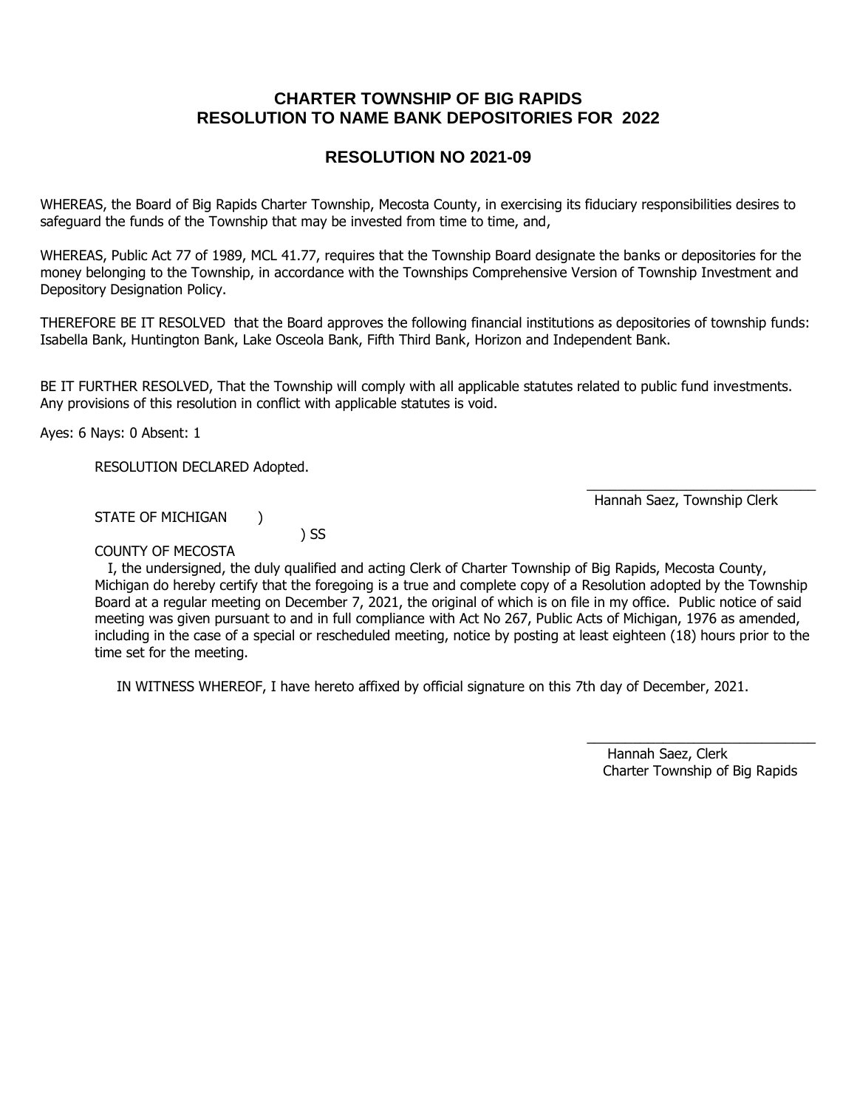# **CHARTER TOWNSHIP OF BIG RAPIDS RESOLUTION TO NAME BANK DEPOSITORIES FOR 2022**

# **RESOLUTION NO 2021-09**

WHEREAS, the Board of Big Rapids Charter Township, Mecosta County, in exercising its fiduciary responsibilities desires to safeguard the funds of the Township that may be invested from time to time, and,

WHEREAS, Public Act 77 of 1989, MCL 41.77, requires that the Township Board designate the banks or depositories for the money belonging to the Township, in accordance with the Townships Comprehensive Version of Township Investment and Depository Designation Policy.

THEREFORE BE IT RESOLVED that the Board approves the following financial institutions as depositories of township funds: Isabella Bank, Huntington Bank, Lake Osceola Bank, Fifth Third Bank, Horizon and Independent Bank.

BE IT FURTHER RESOLVED, That the Township will comply with all applicable statutes related to public fund investments. Any provisions of this resolution in conflict with applicable statutes is void.

Ayes: 6 Nays: 0 Absent: 1

RESOLUTION DECLARED Adopted.

Hannah Saez, Township Clerk

STATE OF MICHIGAN )

) SS

COUNTY OF MECOSTA

 I, the undersigned, the duly qualified and acting Clerk of Charter Township of Big Rapids, Mecosta County, Michigan do hereby certify that the foregoing is a true and complete copy of a Resolution adopted by the Township Board at a regular meeting on December 7, 2021, the original of which is on file in my office. Public notice of said meeting was given pursuant to and in full compliance with Act No 267, Public Acts of Michigan, 1976 as amended, including in the case of a special or rescheduled meeting, notice by posting at least eighteen (18) hours prior to the time set for the meeting.

 $\frac{1}{\sqrt{2}}$  , and the set of the set of the set of the set of the set of the set of the set of the set of the set of the set of the set of the set of the set of the set of the set of the set of the set of the set of the

IN WITNESS WHEREOF, I have hereto affixed by official signature on this 7th day of December, 2021.

\_\_\_\_\_\_\_\_\_\_\_\_\_\_\_\_\_\_\_\_\_\_\_\_\_\_\_\_\_\_ Hannah Saez, Clerk Charter Township of Big Rapids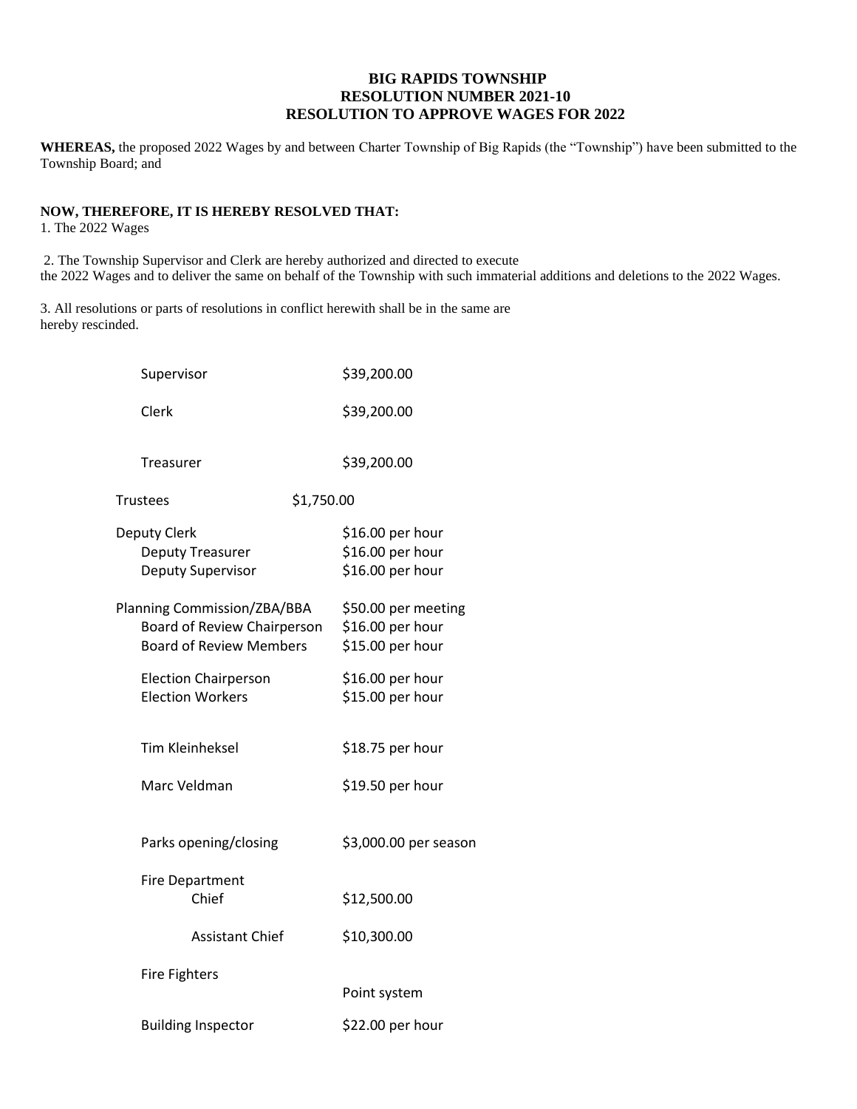## **BIG RAPIDS TOWNSHIP RESOLUTION NUMBER 2021-10 RESOLUTION TO APPROVE WAGES FOR 2022**

**WHEREAS,** the proposed 2022 Wages by and between Charter Township of Big Rapids (the "Township") have been submitted to the Township Board; and

# **NOW, THEREFORE, IT IS HEREBY RESOLVED THAT:**

1. The 2022 Wages

2. The Township Supervisor and Clerk are hereby authorized and directed to execute the 2022 Wages and to deliver the same on behalf of the Township with such immaterial additions and deletions to the 2022 Wages.

3. All resolutions or parts of resolutions in conflict herewith shall be in the same are hereby rescinded.

|                               | Supervisor                                                                                   | \$39,200.00                                                 |
|-------------------------------|----------------------------------------------------------------------------------------------|-------------------------------------------------------------|
|                               | Clerk                                                                                        | \$39,200.00                                                 |
|                               | Treasurer                                                                                    | \$39,200.00                                                 |
| <b>Trustees</b><br>\$1,750.00 |                                                                                              |                                                             |
|                               | Deputy Clerk<br>Deputy Treasurer<br>Deputy Supervisor                                        | \$16.00 per hour<br>\$16.00 per hour<br>\$16.00 per hour    |
|                               | Planning Commission/ZBA/BBA<br>Board of Review Chairperson<br><b>Board of Review Members</b> | \$50.00 per meeting<br>\$16.00 per hour<br>\$15.00 per hour |
|                               | <b>Election Chairperson</b><br><b>Election Workers</b>                                       | \$16.00 per hour<br>\$15.00 per hour                        |
|                               | <b>Tim Kleinheksel</b>                                                                       | \$18.75 per hour                                            |
|                               | Marc Veldman                                                                                 | \$19.50 per hour                                            |
|                               | Parks opening/closing                                                                        | \$3,000.00 per season                                       |
|                               | Fire Department<br>Chief                                                                     | \$12,500.00                                                 |
|                               | <b>Assistant Chief</b>                                                                       | \$10,300.00                                                 |
|                               | <b>Fire Fighters</b>                                                                         | Point system                                                |
|                               | <b>Building Inspector</b>                                                                    | \$22.00 per hour                                            |